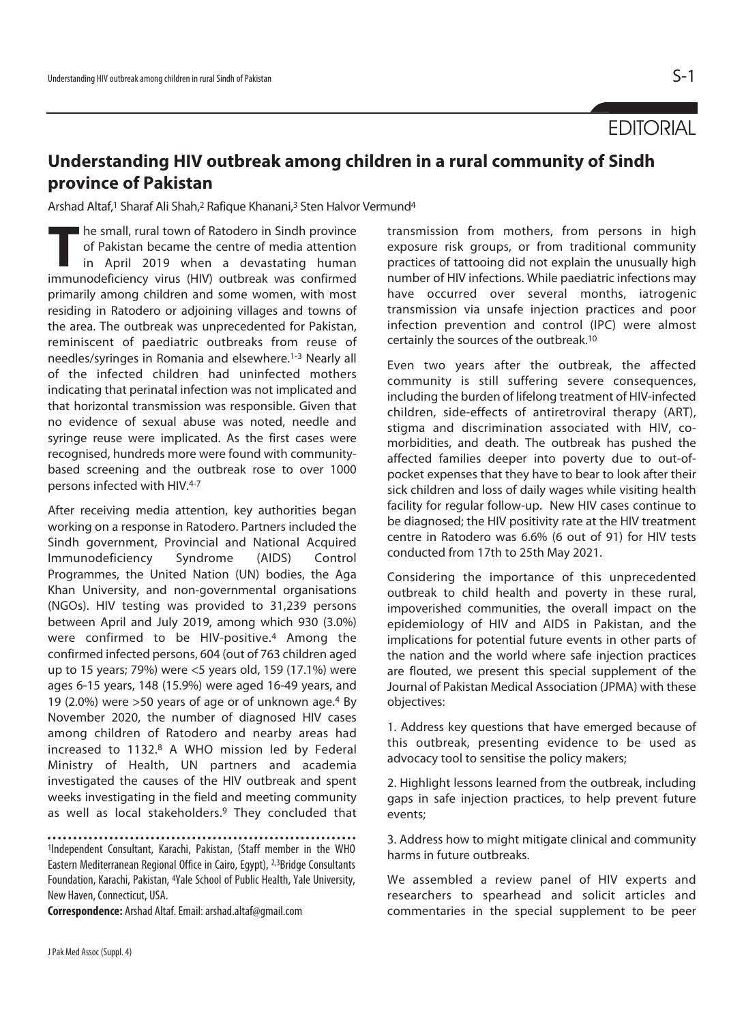**EDITORIAL** 

## **Understanding HIV outbreak among children in a rural community of Sindh province of Pakistan**

Arshad Altaf,<sup>1</sup> Sharaf Ali Shah,<sup>2</sup> Rafique Khanani,<sup>3</sup> Sten Halvor Vermund<sup>4</sup>

**The small, rural town of Ratodero in Sindh province of Pakistan became the centre of media attention in April 2019 when a devastating human immunodeficiency virus (HIV) outbreak was confirmed** of Pakistan became the centre of media attention immunodeficiency virus (HIV) outbreak was confirmed primarily among children and some women, with most residing in Ratodero or adjoining villages and towns of the area. The outbreak was unprecedented for Pakistan, reminiscent of paediatric outbreaks from reuse of needles/syringes in Romania and elsewhere.1-3 Nearly all of the infected children had uninfected mothers indicating that perinatal infection was not implicated and that horizontal transmission was responsible. Given that no evidence of sexual abuse was noted, needle and syringe reuse were implicated. As the first cases were recognised, hundreds more were found with communitybased screening and the outbreak rose to over 1000 persons infected with HIV.4-7

After receiving media attention, key authorities began working on a response in Ratodero. Partners included the Sindh government, Provincial and National Acquired Immunodeficiency Syndrome (AIDS) Control Programmes, the United Nation (UN) bodies, the Aga Khan University, and non-governmental organisations (NGOs). HIV testing was provided to 31,239 persons between April and July 2019, among which 930 (3.0%) were confirmed to be HIV-positive.4 Among the confirmed infected persons, 604 (out of 763 children aged up to 15 years; 79%) were <5 years old, 159 (17.1%) were ages 6-15 years, 148 (15.9%) were aged 16-49 years, and 19 (2.0%) were >50 years of age or of unknown age.4 By November 2020, the number of diagnosed HIV cases among children of Ratodero and nearby areas had increased to 1132.8 A WHO mission led by Federal Ministry of Health, UN partners and academia investigated the causes of the HIV outbreak and spent weeks investigating in the field and meeting community as well as local stakeholders.<sup>9</sup> They concluded that

1Independent Consultant, Karachi, Pakistan, (Staff member in the WHO Eastern Mediterranean Regional Office in Cairo, Egypt), 2,3Bridge Consultants Foundation, Karachi, Pakistan, 4Yale School of Public Health, Yale University, New Haven, Connecticut, USA.

**Correspondence:** Arshad Altaf. Email: arshad.altaf@gmail.com

transmission from mothers, from persons in high exposure risk groups, or from traditional community practices of tattooing did not explain the unusually high number of HIV infections. While paediatric infections may have occurred over several months, iatrogenic transmission via unsafe injection practices and poor infection prevention and control (IPC) were almost certainly the sources of the outbreak.10

Even two years after the outbreak, the affected community is still suffering severe consequences, including the burden of lifelong treatment of HIV-infected children, side-effects of antiretroviral therapy (ART), stigma and discrimination associated with HIV, comorbidities, and death. The outbreak has pushed the affected families deeper into poverty due to out-ofpocket expenses that they have to bear to look after their sick children and loss of daily wages while visiting health facility for regular follow-up. New HIV cases continue to be diagnosed; the HIV positivity rate at the HIV treatment centre in Ratodero was 6.6% (6 out of 91) for HIV tests conducted from 17th to 25th May 2021.

Considering the importance of this unprecedented outbreak to child health and poverty in these rural, impoverished communities, the overall impact on the epidemiology of HIV and AIDS in Pakistan, and the implications for potential future events in other parts of the nation and the world where safe injection practices are flouted, we present this special supplement of the Journal of Pakistan Medical Association (JPMA) with these objectives:

1. Address key questions that have emerged because of this outbreak, presenting evidence to be used as advocacy tool to sensitise the policy makers;

2. Highlight lessons learned from the outbreak, including gaps in safe injection practices, to help prevent future events;

3. Address how to might mitigate clinical and community harms in future outbreaks.

We assembled a review panel of HIV experts and researchers to spearhead and solicit articles and commentaries in the special supplement to be peer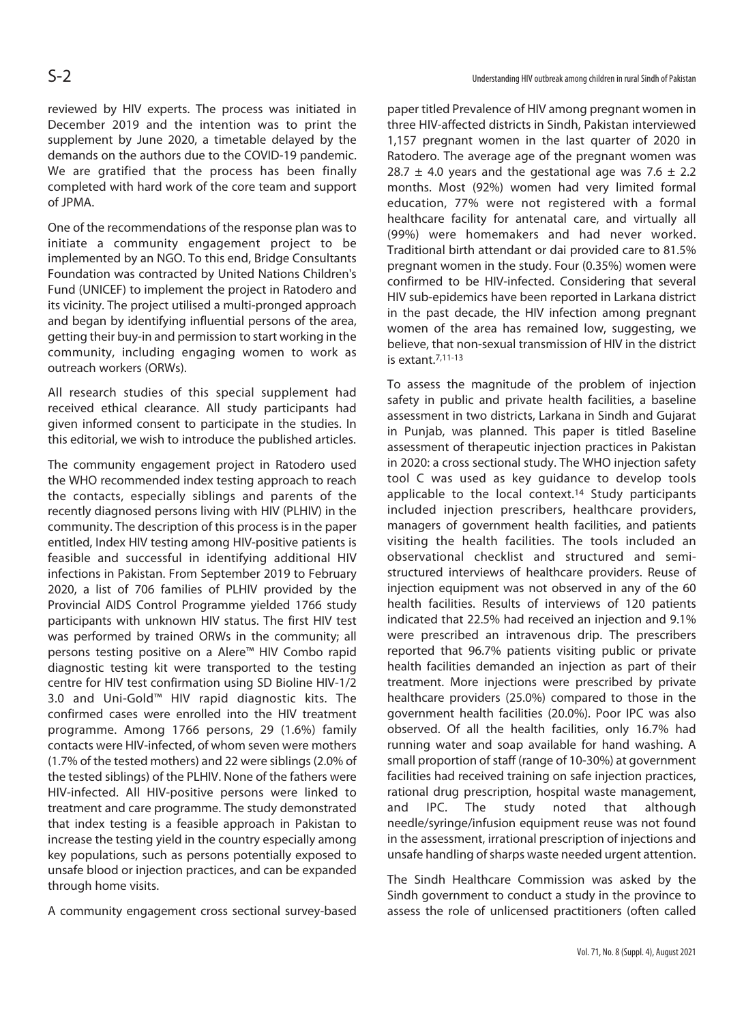reviewed by HIV experts. The process was initiated in December 2019 and the intention was to print the supplement by June 2020, a timetable delayed by the demands on the authors due to the COVID-19 pandemic. We are gratified that the process has been finally completed with hard work of the core team and support of JPMA.

One of the recommendations of the response plan was to initiate a community engagement project to be implemented by an NGO. To this end, Bridge Consultants Foundation was contracted by United Nations Children's Fund (UNICEF) to implement the project in Ratodero and its vicinity. The project utilised a multi-pronged approach and began by identifying influential persons of the area, getting their buy-in and permission to start working in the community, including engaging women to work as outreach workers (ORWs).

All research studies of this special supplement had received ethical clearance. All study participants had given informed consent to participate in the studies. In this editorial, we wish to introduce the published articles.

The community engagement project in Ratodero used the WHO recommended index testing approach to reach the contacts, especially siblings and parents of the recently diagnosed persons living with HIV (PLHIV) in the community. The description of this process is in the paper entitled, Index HIV testing among HIV-positive patients is feasible and successful in identifying additional HIV infections in Pakistan. From September 2019 to February 2020, a list of 706 families of PLHIV provided by the Provincial AIDS Control Programme yielded 1766 study participants with unknown HIV status. The first HIV test was performed by trained ORWs in the community; all persons testing positive on a Alere™ HIV Combo rapid diagnostic testing kit were transported to the testing centre for HIV test confirmation using SD Bioline HIV-1/2 3.0 and Uni-Gold™ HIV rapid diagnostic kits. The confirmed cases were enrolled into the HIV treatment programme. Among 1766 persons, 29 (1.6%) family contacts were HIV-infected, of whom seven were mothers (1.7% of the tested mothers) and 22 were siblings (2.0% of the tested siblings) of the PLHIV. None of the fathers were HIV-infected. All HIV-positive persons were linked to treatment and care programme. The study demonstrated that index testing is a feasible approach in Pakistan to increase the testing yield in the country especially among key populations, such as persons potentially exposed to unsafe blood or injection practices, and can be expanded through home visits.

A community engagement cross sectional survey-based

paper titled Prevalence of HIV among pregnant women in three HIV-affected districts in Sindh, Pakistan interviewed 1,157 pregnant women in the last quarter of 2020 in Ratodero. The average age of the pregnant women was 28.7  $\pm$  4.0 years and the gestational age was 7.6  $\pm$  2.2 months. Most (92%) women had very limited formal education, 77% were not registered with a formal healthcare facility for antenatal care, and virtually all (99%) were homemakers and had never worked. Traditional birth attendant or dai provided care to 81.5% pregnant women in the study. Four (0.35%) women were confirmed to be HIV-infected. Considering that several HIV sub-epidemics have been reported in Larkana district in the past decade, the HIV infection among pregnant women of the area has remained low, suggesting, we believe, that non-sexual transmission of HIV in the district is extant.7,11-13

To assess the magnitude of the problem of injection safety in public and private health facilities, a baseline assessment in two districts, Larkana in Sindh and Gujarat in Punjab, was planned. This paper is titled Baseline assessment of therapeutic injection practices in Pakistan in 2020: a cross sectional study. The WHO injection safety tool C was used as key guidance to develop tools applicable to the local context.14 Study participants included injection prescribers, healthcare providers, managers of government health facilities, and patients visiting the health facilities. The tools included an observational checklist and structured and semistructured interviews of healthcare providers. Reuse of injection equipment was not observed in any of the 60 health facilities. Results of interviews of 120 patients indicated that 22.5% had received an injection and 9.1% were prescribed an intravenous drip. The prescribers reported that 96.7% patients visiting public or private health facilities demanded an injection as part of their treatment. More injections were prescribed by private healthcare providers (25.0%) compared to those in the government health facilities (20.0%). Poor IPC was also observed. Of all the health facilities, only 16.7% had running water and soap available for hand washing. A small proportion of staff (range of 10-30%) at government facilities had received training on safe injection practices, rational drug prescription, hospital waste management, and IPC. The study noted that although needle/syringe/infusion equipment reuse was not found in the assessment, irrational prescription of injections and unsafe handling of sharps waste needed urgent attention.

The Sindh Healthcare Commission was asked by the Sindh government to conduct a study in the province to assess the role of unlicensed practitioners (often called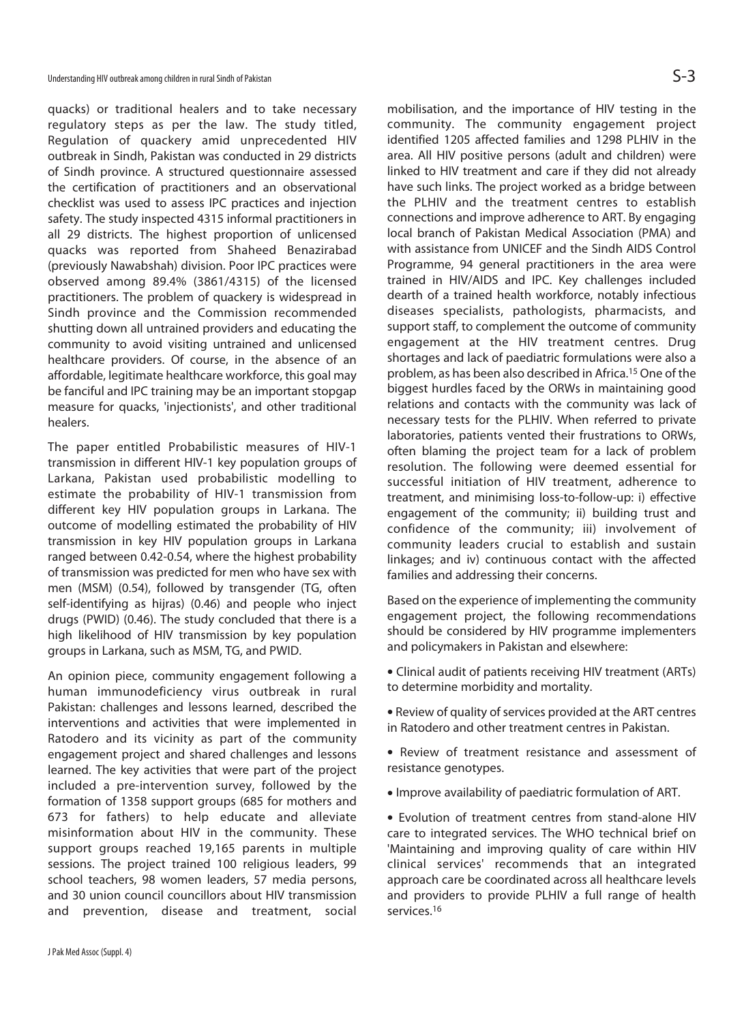quacks) or traditional healers and to take necessary regulatory steps as per the law. The study titled, Regulation of quackery amid unprecedented HIV outbreak in Sindh, Pakistan was conducted in 29 districts of Sindh province. A structured questionnaire assessed the certification of practitioners and an observational checklist was used to assess IPC practices and injection safety. The study inspected 4315 informal practitioners in all 29 districts. The highest proportion of unlicensed quacks was reported from Shaheed Benazirabad (previously Nawabshah) division. Poor IPC practices were observed among 89.4% (3861/4315) of the licensed practitioners. The problem of quackery is widespread in Sindh province and the Commission recommended shutting down all untrained providers and educating the community to avoid visiting untrained and unlicensed healthcare providers. Of course, in the absence of an affordable, legitimate healthcare workforce, this goal may be fanciful and IPC training may be an important stopgap measure for quacks, 'injectionists', and other traditional healers.

The paper entitled Probabilistic measures of HIV-1 transmission in different HIV-1 key population groups of Larkana, Pakistan used probabilistic modelling to estimate the probability of HIV-1 transmission from different key HIV population groups in Larkana. The outcome of modelling estimated the probability of HIV transmission in key HIV population groups in Larkana ranged between 0.42-0.54, where the highest probability of transmission was predicted for men who have sex with men (MSM) (0.54), followed by transgender (TG, often self-identifying as hijras) (0.46) and people who inject drugs (PWID) (0.46). The study concluded that there is a high likelihood of HIV transmission by key population groups in Larkana, such as MSM, TG, and PWID.

An opinion piece, community engagement following a human immunodeficiency virus outbreak in rural Pakistan: challenges and lessons learned, described the interventions and activities that were implemented in Ratodero and its vicinity as part of the community engagement project and shared challenges and lessons learned. The key activities that were part of the project included a pre-intervention survey, followed by the formation of 1358 support groups (685 for mothers and 673 for fathers) to help educate and alleviate misinformation about HIV in the community. These support groups reached 19,165 parents in multiple sessions. The project trained 100 religious leaders, 99 school teachers, 98 women leaders, 57 media persons, and 30 union council councillors about HIV transmission and prevention, disease and treatment, social

mobilisation, and the importance of HIV testing in the community. The community engagement project identified 1205 affected families and 1298 PLHIV in the area. All HIV positive persons (adult and children) were linked to HIV treatment and care if they did not already have such links. The project worked as a bridge between the PLHIV and the treatment centres to establish connections and improve adherence to ART. By engaging local branch of Pakistan Medical Association (PMA) and with assistance from UNICEF and the Sindh AIDS Control Programme, 94 general practitioners in the area were trained in HIV/AIDS and IPC. Key challenges included dearth of a trained health workforce, notably infectious diseases specialists, pathologists, pharmacists, and support staff, to complement the outcome of community engagement at the HIV treatment centres. Drug shortages and lack of paediatric formulations were also a problem, as has been also described in Africa.15 One of the biggest hurdles faced by the ORWs in maintaining good relations and contacts with the community was lack of necessary tests for the PLHIV. When referred to private laboratories, patients vented their frustrations to ORWs, often blaming the project team for a lack of problem resolution. The following were deemed essential for successful initiation of HIV treatment, adherence to treatment, and minimising loss-to-follow-up: i) effective engagement of the community; ii) building trust and confidence of the community; iii) involvement of community leaders crucial to establish and sustain linkages; and iv) continuous contact with the affected families and addressing their concerns.

Based on the experience of implementing the community engagement project, the following recommendations should be considered by HIV programme implementers and policymakers in Pakistan and elsewhere:

- Clinical audit of patients receiving HIV treatment (ARTs) to determine morbidity and mortality.
- Review of quality of services provided at the ART centres in Ratodero and other treatment centres in Pakistan.
- Review of treatment resistance and assessment of resistance genotypes.
- Improve availability of paediatric formulation of ART.

• Evolution of treatment centres from stand-alone HIV care to integrated services. The WHO technical brief on 'Maintaining and improving quality of care within HIV clinical services' recommends that an integrated approach care be coordinated across all healthcare levels and providers to provide PLHIV a full range of health services.16